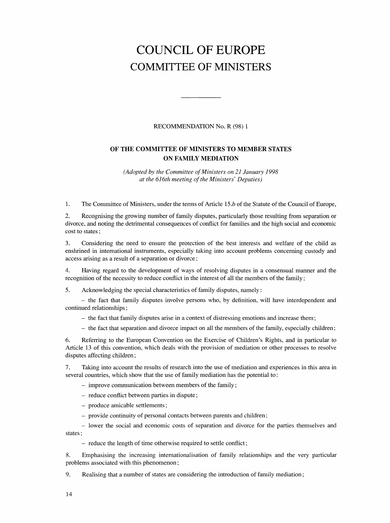# COUNCIL OF EUROPE COMMITTEE OF MINISTERS

### RECOMMENDATION No. R (98) 1

## OF THE COMMITTEE OF MINISTERS TO MEMBER STATES ON FAMILY MEDIATION

(Adopted by the Committee of Ministers on 21 January 1998 at the 616th meeting of the Ministers' Deputies)

1. The Committee of Ministers, under the terms of Article 15.b of the Statute of the Council of Europe,

2. Recognising the growing number of family disputes, particularly those resulting from separation or divorce, and noting the detrimental consequences of conflict for families and the high social and economic cost to states;

3. Considering the need to ensure the protection of the best interests and welfare of the child as enshrined in international instruments, especially taking into account problems concerning custody and access arising as a result of a separation or divorce;

4. Having regard to the development of ways of resolving disputes in a consensual manner and the recognition of the necessity to reduce conflict in the interest of all the members of the family;

5. Acknowledging the special characteristics of family disputes, namely:

- the fact that family disputes involve persons who, by definition, will have interdependent and continued relationships;

- the fact that family disputes arise in a context of distressing emotions and increase them;

- the fact that separation and divorce impact on all the members of the family, especially children;

6. Referring to the European Convention on the Exercise of Children's Rights, and in particular to Article 13 of this convention, which deals with the provision of mediation or other processes to resolve disputes affecting children;

7. Taking into account the results of research into the use of mediation and experiences in this area in several countries, which show that the use of family mediation has the potential to:

- improve communication between members of the family;

- reduce conflict between parties in dispute;

- produce amicable settlements;
- provide continuity of personal contacts between parents and children;

- lower the social and economic costs of separation and divorce for the parties themselves and states;

- reduce the length of time otherwise required to settle conflict;

8. Emphasising the increasing internationalisation of family relationships and the very particular problems associated with this phenomenon;

9. Realising that a number of states are considering the introduction of family mediation;

14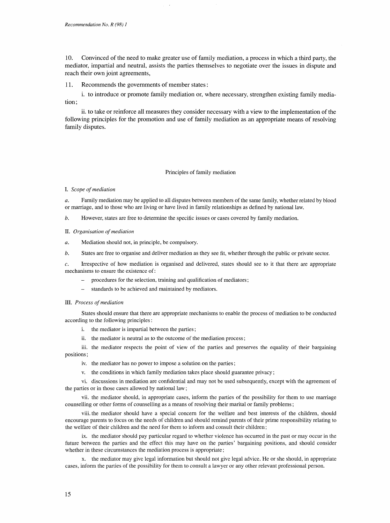10. Convinced of the need to make greater use of family mediation, a process in which a third party, the mediator, impartial and neutral, assists the parties themselves to negotiate over the issues in dispute and reach their own joint agreements,

11. Recommends the governments of member states:

i. to introduce or promote family mediation or, where necessary, strengthen existing family mediation;

ii. to take or reinforce all measures they consider necessary with a view to the implementation of the following principles for the promotion and use of family mediation as an appropriate means of resolving family disputes.

#### Principles of family mediation

I. Scope of mediation

a. Family mediation may be applied to all disputes between members of the same family, whether related by blood or marriage, and to those who are living or have lived in family relationships as defined by national law.

b. However, states are free to determine the specific issues or cases covered by family mediation.

- II. Organisation of mediation
- a. Mediation should not, in principle, be compulsory.
- b. States are free to organise and deliver mediation as they see fit, whether through the public or private sector.

c. Irrespective of how mediation is organised and delivered, states should see to it that there are appropriate mechanisms to ensure the existence of:

- procedures for the selection, training and qualification of mediators;
- standards to be achieved and maintained by mediators.
- III. Process of mediation

States should ensure that there are appropriate mechanisms to enable the process of mediation to be conducted according to the following principles:

- i. the mediator is impartial between the parties;
- ii. the mediator is neutral as to the outcome of the mediation process;

iii. the mediator respects the point of view of the parties and preserves the equality of their bargaining positions;

- iv. the mediator has no power to impose a solution on the parties;
- v. the conditions in which family mediation takes place should guarantee privacy;

vi. discussions in mediation are confidential and may not be used subsequently, except with the agreement of the parties or in those cases allowed by national law;

vii. the mediator should, in appropriate cases, inform the parties of the possibility for them to use marriage counselling or other forms of counselling as a means of resolving their marital or family problems;

viii. the mediator should have a special concern for the welfare and best interests of the children, should encourage parents to focus on the needs of children and should remind parents of their prime responsibility relating to the welfare of their children and the need for them to inform and consult their children;

ix. the mediator should pay particular regard to whether violence has occurred in the past or may occur in the future between the parties and the effect this may have on the parties' bargaining positions, and should consider whether in these circumstances the mediation process is appropriate;

x. the mediator may give legal information but should not give legal advice. He or she should, in appropriate cases, inform the parties of the possibility for them to consult a lawyer or any other relevant professional person.